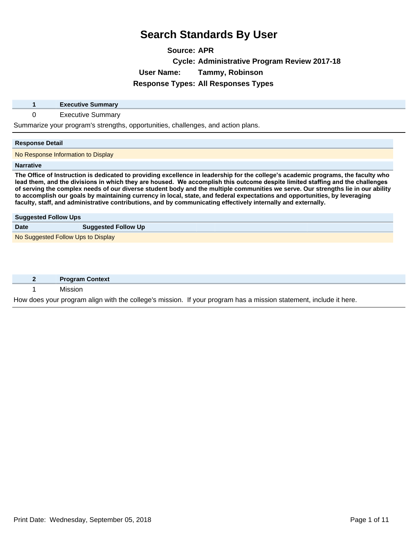**Source: APR Cycle: Administrative Program Review 2017-18 User Name: Tammy, Robinson Response Types: All Responses Types**

|                             | <b>Executive Summary</b>                                                                                                                                                                                                                                                                                                                                                                                                                                                                                                                                                                                                                              |
|-----------------------------|-------------------------------------------------------------------------------------------------------------------------------------------------------------------------------------------------------------------------------------------------------------------------------------------------------------------------------------------------------------------------------------------------------------------------------------------------------------------------------------------------------------------------------------------------------------------------------------------------------------------------------------------------------|
| 0                           | <b>Executive Summary</b>                                                                                                                                                                                                                                                                                                                                                                                                                                                                                                                                                                                                                              |
|                             | Summarize your program's strengths, opportunities, challenges, and action plans.                                                                                                                                                                                                                                                                                                                                                                                                                                                                                                                                                                      |
| <b>Response Detail</b>      |                                                                                                                                                                                                                                                                                                                                                                                                                                                                                                                                                                                                                                                       |
|                             | No Response Information to Display                                                                                                                                                                                                                                                                                                                                                                                                                                                                                                                                                                                                                    |
| <b>Narrative</b>            |                                                                                                                                                                                                                                                                                                                                                                                                                                                                                                                                                                                                                                                       |
|                             | The Office of Instruction is dedicated to providing excellence in leadership for the college's academic programs, the faculty who<br>lead them, and the divisions in which they are housed. We accomplish this outcome despite limited staffing and the challenges<br>of serving the complex needs of our diverse student body and the multiple communities we serve. Our strengths lie in our ability<br>to accomplish our goals by maintaining currency in local, state, and federal expectations and opportunities, by leveraging<br>faculty, staff, and administrative contributions, and by communicating effectively internally and externally. |
| <b>Suggested Follow Ups</b> |                                                                                                                                                                                                                                                                                                                                                                                                                                                                                                                                                                                                                                                       |
| <b>Date</b>                 | <b>Suggested Follow Up</b>                                                                                                                                                                                                                                                                                                                                                                                                                                                                                                                                                                                                                            |
|                             | No Suggested Follow Ups to Display                                                                                                                                                                                                                                                                                                                                                                                                                                                                                                                                                                                                                    |
|                             |                                                                                                                                                                                                                                                                                                                                                                                                                                                                                                                                                                                                                                                       |

| <b>Program Context</b> |                                                                                                                   |
|------------------------|-------------------------------------------------------------------------------------------------------------------|
| Mission                |                                                                                                                   |
|                        | How does your program align with the college's mission. If your program has a mission statement, include it here. |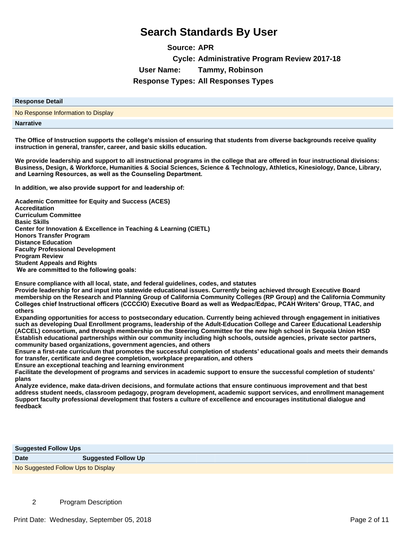**Source: APR Cycle: Administrative Program Review 2017-18 User Name: Tammy, Robinson Response Types: All Responses Types**

| <b>Response Detail</b>             |
|------------------------------------|
| No Response Information to Display |
| <b>Narrative</b>                   |

**The Office of Instruction supports the college's mission of ensuring that students from diverse backgrounds receive quality instruction in general, transfer, career, and basic skills education.** 

**We provide leadership and support to all instructional programs in the college that are offered in four instructional divisions: Business, Design, & Workforce, Humanities & Social Sciences, Science & Technology, Athletics, Kinesiology, Dance, Library,**  and Learning Resources, as well as the Counseling Department.

In addition, we also provide support for and leadership of:

**Academic Committee for Equity and Success (ACES) Accreditation Curriculum Committee Basic Skills Center for Innovation & Excellence in Teaching & Learning (CIETL) Honors Transfer Program Distance Education Faculty Professional Development Program Review Student Appeals and Rights** We are committed to the following goals:

**Ensure compliance with all local, state, and federal guidelines, codes, and statutes** 

**Provide leadership for and input into statewide educational issues. Currently being achieved through Executive Board membership on the Research and Planning Group of California Community Colleges (RP Group) and the California Community**  Colleges chief Instructional officers (CCCCIO) Executive Board as well as Wedpac/Edpac, PCAH Writers' Group, TTAC, and **others**

**Expanding opportunities for access to postsecondary education. Currently being achieved through engagement in initiatives such as developing Dual Enrollment programs, leadership of the Adult-Education College and Career Educational Leadership (ACCEL) consortium, and through membership on the Steering Committee for the new high school in Sequoia Union HSD Establish educational partnerships within our community including high schools, outside agencies, private sector partners, community based organizations, government agencies, and others** 

**Ensure a first-rate curriculum that promotes the successful completion of students¶educational goals and meets their demands for transfer, certificate and degree completion, workplace preparation, and others**

**Ensure an exceptional teaching and learning environment**

**Facilitate the development of programs and services in academic support to ensure the successful completion of students¶ plans**

**Analyze evidence, make data-driven decisions, and formulate actions that ensure continuous improvement and that best address student needs, classroom pedagogy, program development, academic support services, and enrollment management Support faculty professional development that fosters a culture of excellence and encourages institutional dialogue and feedback**

| <b>Suggested Follow Ups</b>        |                            |
|------------------------------------|----------------------------|
| <b>Date</b>                        | <b>Suggested Follow Up</b> |
| No Suggested Follow Ups to Display |                            |

2 Program Description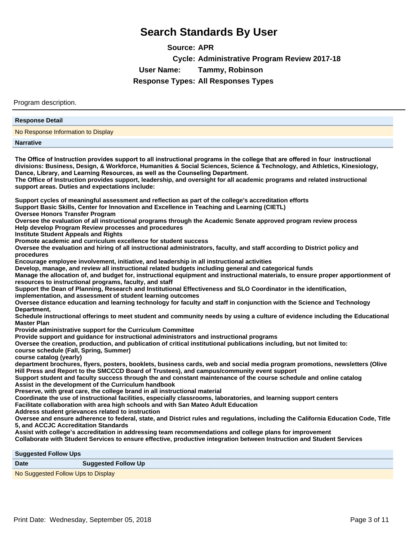**Source: APR Cycle: Administrative Program Review 2017-18 User Name: Tammy, Robinson Response Types: All Responses Types**

Program description.

| <b>Response Detail</b>                                                                                                                                                                                                                                                                                                                                                                                                                                                                                                       |
|------------------------------------------------------------------------------------------------------------------------------------------------------------------------------------------------------------------------------------------------------------------------------------------------------------------------------------------------------------------------------------------------------------------------------------------------------------------------------------------------------------------------------|
| No Response Information to Display                                                                                                                                                                                                                                                                                                                                                                                                                                                                                           |
| <b>Narrative</b>                                                                                                                                                                                                                                                                                                                                                                                                                                                                                                             |
| The Office of Instruction provides support to all instructional programs in the college that are offered in four instructional<br>divisions: Business, Design, & Workforce, Humanities & Social Sciences, Science & Technology, and Athletics, Kinesiology,<br>Dance, Library, and Learning Resources, as well as the Counseling Department.<br>The Office of Instruction provides support, leadership, and oversight for all academic programs and related instructional<br>support areas. Duties and expectations include: |
| Support cycles of meaningful assessment and reflection as part of the college's accreditation efforts<br>Support Basic Skills, Center for Innovation and Excellence in Teaching and Learning (CIETL)<br><b>Oversee Honors Transfer Program</b>                                                                                                                                                                                                                                                                               |
| Oversee the evaluation of all instructional programs through the Academic Senate approved program review process<br>Help develop Program Review processes and procedures<br><b>Institute Student Appeals and Rights</b>                                                                                                                                                                                                                                                                                                      |
| Promote academic and curriculum excellence for student success<br>Oversee the evaluation and hiring of all instructional administrators, faculty, and staff according to District policy and<br>procedures                                                                                                                                                                                                                                                                                                                   |
| Encourage employee involvement, initiative, and leadership in all instructional activities<br>Develop, manage, and review all instructional related budgets including general and categorical funds<br>Manage the allocation of, and budget for, instructional equipment and instructional materials, to ensure proper apportionment of<br>resources to instructional programs, faculty, and staff                                                                                                                           |
| Support the Dean of Planning, Research and Institutional Effectiveness and SLO Coordinator in the identification,<br>implementation, and assessment of student learning outcomes<br>Oversee distance education and learning technology for faculty and staff in conjunction with the Science and Technology                                                                                                                                                                                                                  |
| Department,<br>Schedule instructional offerings to meet student and community needs by using a culture of evidence including the Educational<br><b>Master Plan</b>                                                                                                                                                                                                                                                                                                                                                           |
| Provide administrative support for the Curriculum Committee<br>Provide support and guidance for instructional administrators and instructional programs<br>Oversee the creation, production, and publication of critical institutional publications including, but not limited to:<br>course schedule (Fall, Spring, Summer)                                                                                                                                                                                                 |
| course catalog (yearly)<br>department brochures, flyers, posters, booklets, business cards, web and social media program promotions, newsletters (Olive<br>Hill Press and Report to the SMCCCD Board of Trustees), and campus/community event support<br>Support student and faculty success through the and constant maintenance of the course schedule and online catalog                                                                                                                                                  |
| Assist in the development of the Curriculum handbook<br>Preserve, with great care, the college brand in all instructional material<br>Coordinate the use of instructional facilities, especially classrooms, laboratories, and learning support centers                                                                                                                                                                                                                                                                      |
| Facilitate collaboration with area high schools and with San Mateo Adult Education<br>Address student grievances related to instruction<br>Oversee and ensure adherence to federal, state, and District rules and regulations, including the California Education Code, Title                                                                                                                                                                                                                                                |
| 5, and ACCJC Accreditation Standards<br>Assist with college's accreditation in addressing team recommendations and college plans for improvement<br>Collaborate with Student Services to ensure effective, productive integration between Instruction and Student Services                                                                                                                                                                                                                                                   |
|                                                                                                                                                                                                                                                                                                                                                                                                                                                                                                                              |
| <b>Suggested Follow Ups</b><br><b>Date</b><br><b>Suggested Follow Up</b>                                                                                                                                                                                                                                                                                                                                                                                                                                                     |
| No Suggested Follow Ups to Display                                                                                                                                                                                                                                                                                                                                                                                                                                                                                           |
|                                                                                                                                                                                                                                                                                                                                                                                                                                                                                                                              |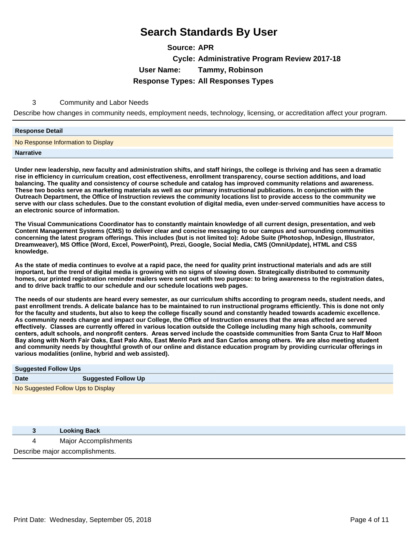**Source: APR Cycle: Administrative Program Review 2017-18 User Name: Tammy, Robinson Response Types: All Responses Types**

#### 3 Community and Labor Needs

Describe how changes in community needs, employment needs, technology, licensing, or accreditation affect your program.

#### **Response Detail**

No Response Information to Display

**Narrative**

**Under new leadership, new faculty and administration shifts, and staff hirings, the college is thriving and has seen a dramatic rise in efficiency in curriculum creation, cost effectiveness, enrollment transparency, course section additions, and load balancing. The quality and consistency of course schedule and catalog has improved community relations and awareness. These two books serve as marketing materials as well as our primary instructional publications. In conjunction with the Outreach Department, the Office of Instruction reviews the community locations list to provide access to the community we serve with our class schedules. Due to the constant evolution of digital media, even under-served communities have access to an electronic source of information.**

**The Visual Communications Coordinator has to constantly maintain knowledge of all current design, presentation, and web Content Management Systems (CMS) to deliver clear and concise messaging to our campus and surrounding communities concerning the latest program offerings. This includes (but is not limited to): Adobe Suite (Photoshop, InDesign, Illustrator, Dreamweaver), MS Office (Word, Excel, PowerPoint), Prezi, Google, Social Media, CMS (OmniUpdate), HTML and CSS knowledge.**

**As the state of media continues to evolve at a rapid pace, the need for quality print instructional materials and ads are still important, but the trend of digital media is growing with no signs of slowing down. Strategically distributed to community homes, our printed registration reminder mailers were sent out with two purpose: to bring awareness to the registration dates, and to drive back traffic to our schedule and our schedule locations web pages.**

**The needs of our students are heard every semester, as our curriculum shifts according to program needs, student needs, and past enrollment trends. A delicate balance has to be maintained to run instructional programs efficiently. This is done not only for the faculty and students, but also to keep the college fiscally sound and constantly headed towards academic excellence. As community needs change and impact our College, the Office of Instruction ensures that the areas affected are served**  effectively. Classes are currently offered in various location outside the College including many high schools, community centers, adult schools, and nonprofit centers. Areas served include the coastside communities from Santa Cruz to Half Moon Bay along with North Fair Oaks, East Palo Alto, East Menlo Park and San Carlos among others. We are also meeting student **and community needs by thoughtful growth of our online and distance education program by providing curricular offerings in various modalities (online, hybrid and web assisted).**

| <b>Suggested Follow Ups</b>        |                            |
|------------------------------------|----------------------------|
| <b>Date</b>                        | <b>Suggested Follow Up</b> |
| No Suggested Follow Ups to Display |                            |

|                                 | <b>Looking Back</b>   |
|---------------------------------|-----------------------|
|                                 | Major Accomplishments |
| Describe major accomplishments. |                       |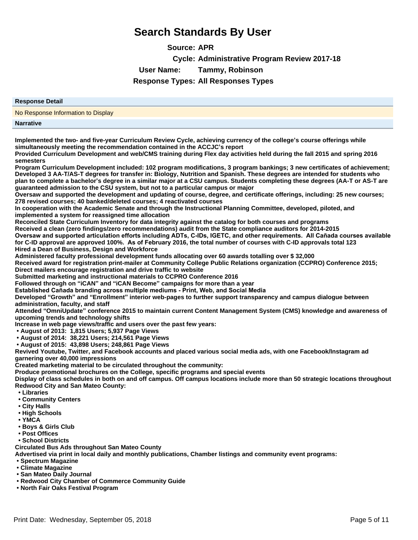**Source: APR Cycle: Administrative Program Review 2017-18 User Name: Tammy, Robinson Response Types: All Responses Types**

| <b>Response Detail</b>                                                                                                                                                                                                                                                                                                                                                                                                                                                             |
|------------------------------------------------------------------------------------------------------------------------------------------------------------------------------------------------------------------------------------------------------------------------------------------------------------------------------------------------------------------------------------------------------------------------------------------------------------------------------------|
| No Response Information to Display                                                                                                                                                                                                                                                                                                                                                                                                                                                 |
| <b>Narrative</b>                                                                                                                                                                                                                                                                                                                                                                                                                                                                   |
| Implemented the two- and five-year Curriculum Review Cycle, achieving currency of the college's course offerings while                                                                                                                                                                                                                                                                                                                                                             |
| simultaneously meeting the recommendation contained in the ACCJC's report<br>Provided Curriculum Development and web/CMS training during Flex day activities held during the fall 2015 and spring 2016<br>semesters                                                                                                                                                                                                                                                                |
| Program Curriculum Development included: 102 program modifications, 3 program bankings; 3 new certificates of achievement;<br>Developed 3 AA-T/AS-T degrees for transfer in: Biology, Nutrition and Spanish. These degrees are intended for students who<br>plan to complete a bachelor's degree in a similar major at a CSU campus. Students completing these degrees (AA-T or AS-T are<br>guaranteed admission to the CSU system, but not to a particular campus or major        |
| Oversaw and supported the development and updating of course, degree, and certificate offerings, including: 25 new courses;<br>278 revised courses; 40 banked/deleted courses; 4 reactivated courses                                                                                                                                                                                                                                                                               |
| In cooperation with the Academic Senate and through the Instructional Planning Committee, developed, piloted, and<br>implemented a system for reassigned time allocation                                                                                                                                                                                                                                                                                                           |
| Reconciled State Curriculum Inventory for data integrity against the catalog for both courses and programs<br>Received a clean (zero findings/zero recommendations) audit from the State compliance auditors for 2014-2015<br>Oversaw and supported articulation efforts including ADTs, C-IDs, IGETC, and other requirements. All Cañada courses available<br>for C-ID approval are approved 100%. As of February 2016, the total number of courses with C-ID approvals total 123 |
| Hired a Dean of Business, Design and Workforce<br>Administered faculty professional development funds allocating over 60 awards totalling over \$32,000<br>Received award for registration print-mailer at Community College Public Relations organization (CCPRO) Conference 2015;<br>Direct mailers encourage registration and drive traffic to website<br>Submitted marketing and instructional materials to CCPRO Conference 2016                                              |
| Followed through on "iCAN" and "iCAN Become" campaigns for more than a year                                                                                                                                                                                                                                                                                                                                                                                                        |
| Established Cañada branding across multiple mediums - Print, Web, and Social Media<br>Developed "Growth" and "Enrollment" interior web-pages to further support transparency and campus dialogue between                                                                                                                                                                                                                                                                           |
| administration, faculty, and staff<br>Attended "OmniUpdate" conference 2015 to maintain current Content Management System (CMS) knowledge and awareness of<br>upcoming trends and technology shifts                                                                                                                                                                                                                                                                                |
| Increase in web page views/traffic and users over the past few years:<br>• August of 2013: 1,815 Users; 5,937 Page Views                                                                                                                                                                                                                                                                                                                                                           |
| • August of 2014: 38,221 Users; 214,561 Page Views<br>• August of 2015: 43,898 Users; 248,861 Page Views                                                                                                                                                                                                                                                                                                                                                                           |
| Revived Youtube, Twitter, and Facebook accounts and placed various social media ads, with one Facebook/Instagram ad<br>garnering over 40,000 impressions                                                                                                                                                                                                                                                                                                                           |
| Created marketing material to be circulated throughout the community:<br>Produce promotional brochures on the College, specific programs and special events                                                                                                                                                                                                                                                                                                                        |
| Display of class schedules in both on and off campus. Off campus locations include more than 50 strategic locations throughout<br><b>Redwood City and San Mateo County:</b>                                                                                                                                                                                                                                                                                                        |
| • Libraries<br>• Community Centers<br>• City Halls                                                                                                                                                                                                                                                                                                                                                                                                                                 |
| • High Schools<br>• YMCA                                                                                                                                                                                                                                                                                                                                                                                                                                                           |
| • Boys & Girls Club<br>• Post Offices                                                                                                                                                                                                                                                                                                                                                                                                                                              |
| · School Districts<br><b>Circulated Bus Ads throughout San Mateo County</b>                                                                                                                                                                                                                                                                                                                                                                                                        |
| Advertised via print in local daily and monthly publications, Chamber listings and community event programs:<br>• Spectrum Magazine                                                                                                                                                                                                                                                                                                                                                |
| • Climate Magazine<br>• San Mateo Daily Journal                                                                                                                                                                                                                                                                                                                                                                                                                                    |

- **Redwood City Chamber of Commerce Community Guide**
- **North Fair Oaks Festival Program**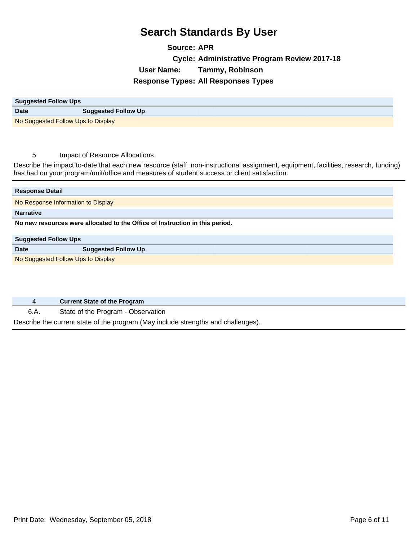#### **Source: APR Cycle: Administrative Program Review 2017-18 User Name: Tammy, Robinson Response Types: All Responses Types**

| <b>Suggested Follow Ups</b>        |                            |
|------------------------------------|----------------------------|
| <b>Date</b>                        | <b>Suggested Follow Up</b> |
| No Suggested Follow Ups to Display |                            |

#### 5 Impact of Resource Allocations

Describe the impact to-date that each new resource (staff, non-instructional assignment, equipment, facilities, research, funding) has had on your program/unit/office and measures of student success or client satisfaction.

| <b>Response Detail</b>                                                       |                                    |  |
|------------------------------------------------------------------------------|------------------------------------|--|
|                                                                              | No Response Information to Display |  |
| <b>Narrative</b>                                                             |                                    |  |
| No new resources were allocated to the Office of Instruction in this period. |                                    |  |
|                                                                              |                                    |  |
| <b>Suggested Follow Ups</b>                                                  |                                    |  |
| Date                                                                         | <b>Suggested Follow Up</b>         |  |

|  |  | <b>Current State of the Program</b> |
|--|--|-------------------------------------|
|--|--|-------------------------------------|

6.A. State of the Program - Observation

Describe the current state of the program (May include strengths and challenges).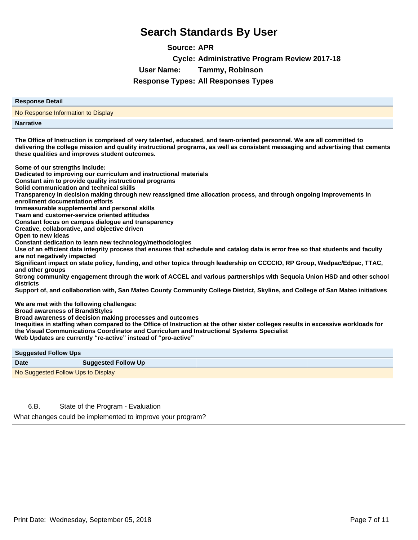**Source: APR Cycle: Administrative Program Review 2017-18 User Name: Tammy, Robinson Response Types: All Responses Types**

| The Office of Instruction is comprised of very talented, educated, and team-oriented personnel. We are all committed to |
|-------------------------------------------------------------------------------------------------------------------------|
| <b>Narrative</b>                                                                                                        |
| No Response Information to Display                                                                                      |
| <b>Response Detail</b>                                                                                                  |
|                                                                                                                         |

**The Office of Instruction is comprised of very talented, educated, and team-oriented personnel. We are all committed to delivering the college mission and quality instructional programs, as well as consistent messaging and advertising that cements these qualities and improves student outcomes.** 

**Some of our strengths include:** 

**Dedicated to improving our curriculum and instructional materials**

**Constant aim to provide quality instructional programs**

**Solid communication and technical skills**

**Transparency in decision making through new reassigned time allocation process, and through ongoing improvements in enrollment documentation efforts**

**Immeasurable supplemental and personal skills**

**Team and customer-service oriented attitudes**

**Constant focus on campus dialogue and transparency**

**Creative, collaborative, and objective driven**

**Open to new ideas**

**Constant dedication to learn new technology/methodologies**

**Use of an efficient data integrity process that ensures that schedule and catalog data is error free so that students and faculty are not negatively impacted**

**Significant impact on state policy, funding, and other topics through leadership on CCCCIO, RP Group, Wedpac/Edpac, TTAC, and other groups**

**Strong community engagement through the work of ACCEL and various partnerships with Sequoia Union HSD and other school districts**

**Support of, and collaboration with, San Mateo County Community College District, Skyline, and College of San Mateo initiatives**

**We are met with the following challenges:** 

**Broad awareness of Brand/Styles**

**Broad awareness of decision making processes and outcomes**

**Inequities in staffing when compared to the Office of Instruction at the other sister colleges results in excessive workloads for the Visual Communications Coordinator and Curriculum and Instructional Systems Specialist**

**Web Updates are currently ³re-active´instead of ³pro-active´**

| <b>Suggested Follow Ups</b>        |                            |  |
|------------------------------------|----------------------------|--|
| <b>Date</b>                        | <b>Suggested Follow Up</b> |  |
| No Suggested Follow Ups to Display |                            |  |

6.B. State of the Program - Evaluation

What changes could be implemented to improve your program?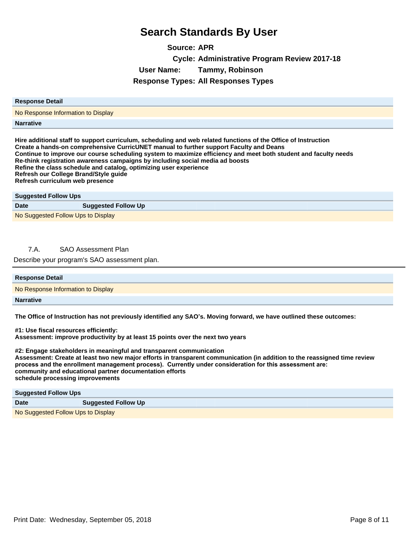**Source: APR Cycle: Administrative Program Review 2017-18 User Name: Tammy, Robinson Response Types: All Responses Types**

| <b>Response Detail</b>                                                                                                                                                                                                                                                                                                                                                                                                                                                            |  |
|-----------------------------------------------------------------------------------------------------------------------------------------------------------------------------------------------------------------------------------------------------------------------------------------------------------------------------------------------------------------------------------------------------------------------------------------------------------------------------------|--|
| No Response Information to Display                                                                                                                                                                                                                                                                                                                                                                                                                                                |  |
| <b>Narrative</b>                                                                                                                                                                                                                                                                                                                                                                                                                                                                  |  |
| Hire additional staff to support curriculum, scheduling and web related functions of the Office of Instruction<br>Create a hands-on comprehensive CurricUNET manual to further support Faculty and Deans<br>Continue to improve our course scheduling system to maximize efficiency and meet both student and faculty needs<br>Re-think registration awareness campaigns by including social media ad boosts<br>Refine the class schedule and catalog, optimizing user experience |  |

**Refresh our College Brand/Style guide Refresh curriculum web presence**

| <b>Suggested Follow Ups</b>        |                            |  |
|------------------------------------|----------------------------|--|
| <b>Date</b>                        | <b>Suggested Follow Up</b> |  |
| No Suggested Follow Ups to Display |                            |  |

#### 7.A. SAO Assessment Plan

Describe your program's SAO assessment plan.

| <b>Response Detail</b>             |  |
|------------------------------------|--|
| No Response Information to Display |  |
| <b>Narrative</b>                   |  |

**The Office of Instruction has not previously identified any SAO¶s. Moving forward, we have outlined these outcomes:** 

**#1: Use fiscal resources efficiently: Assessment: improve productivity by at least 15 points over the next two years**

**#2: Engage stakeholders in meaningful and transparent communication Assessment: Create at least two new major efforts in transparent communication (in addition to the reassigned time review**  process and the enrollment management process). Currently under consideration for this assessment are: **community and educational partner documentation efforts schedule processing improvements**

| <b>Suggested Follow Ups</b>        |                            |  |
|------------------------------------|----------------------------|--|
| <b>Date</b>                        | <b>Suggested Follow Up</b> |  |
| No Suggested Follow Ups to Display |                            |  |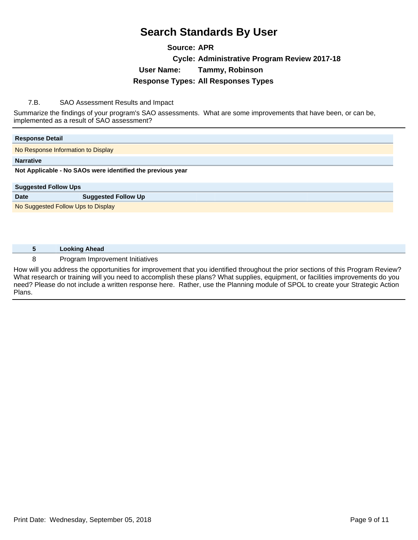#### **Source: APR Cycle: Administrative Program Review 2017-18 User Name: Tammy, Robinson Response Types: All Responses Types**

#### 7.B. SAO Assessment Results and Impact

Summarize the findings of your program's SAO assessments. What are some improvements that have been, or can be, implemented as a result of SAO assessment?

| <b>Response Detail</b>                                     |                            |  |
|------------------------------------------------------------|----------------------------|--|
| No Response Information to Display                         |                            |  |
| <b>Narrative</b>                                           |                            |  |
| Not Applicable - No SAOs were identified the previous year |                            |  |
|                                                            |                            |  |
| <b>Suggested Follow Ups</b>                                |                            |  |
| <b>Date</b>                                                | <b>Suggested Follow Up</b> |  |
| No Suggested Follow Ups to Display                         |                            |  |

| <b>Looking Ahead</b>            |
|---------------------------------|
| Program Improvement Initiatives |

How will you address the opportunities for improvement that you identified throughout the prior sections of this Program Review? What research or training will you need to accomplish these plans? What supplies, equipment, or facilities improvements do you need? Please do not include a written response here. Rather, use the Planning module of SPOL to create your Strategic Action Plans.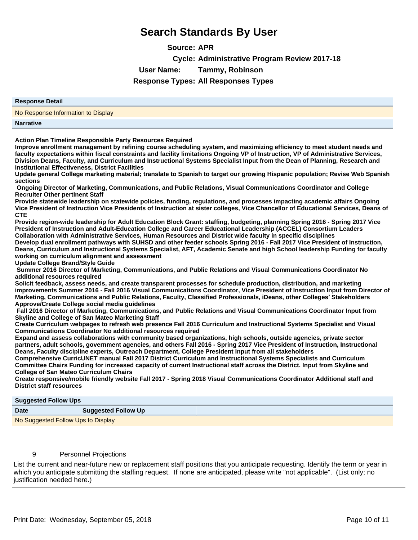**Source: APR Cycle: Administrative Program Review 2017-18 User Name: Tammy, Robinson Response Types: All Responses Types**

# **Response Detail** No Response Information to Display **Narrative**

**Action Plan Timeline Responsible Party Resources Required**

**Improve enrollment management by refining course scheduling system, and maximizing efficiency to meet student needs and faculty expectations within fiscal constraints and facility limitations Ongoing VP of Instruction, VP of Administrative Services, Division Deans, Faculty, and Curriculum and Instructional Systems Specialist Input from the Dean of Planning, Research and Institutional Effectiveness, District Facilities** 

**Update general College marketing material; translate to Spanish to target our growing Hispanic population; Revise Web Spanish sections**

 **Ongoing Director of Marketing, Communications, and Public Relations, Visual Communications Coordinator and College Recruiter Other pertinent Staff**

**Provide statewide leadership on statewide policies, funding, regulations, and processes impacting academic affairs Ongoing Vice President of Instruction Vice Presidents of Instruction at sister colleges, Vice Chancellor of Educational Services, Deans of CTE**

**Provide region-wide leadership for Adult Education Block Grant: staffing, budgeting, planning Spring 2016 - Spring 2017 Vice President of Instruction and Adult-Education College and Career Educational Leadership (ACCEL) Consortium Leaders Collaboration with Administrative Services, Human Resources and District wide faculty in specific disciplines**

**Develop dual enrollment pathways with SUHSD and other feeder schools Spring 2016 - Fall 2017 Vice President of Instruction, Deans, Curriculum and Instructional Systems Specialist, AFT, Academic Senate and high School leadership Funding for faculty working on curriculum alignment and assessment**

**Update College Brand/Style Guide**

 **Summer 2016 Director of Marketing, Communications, and Public Relations and Visual Communications Coordinator No additional resources required**

**Solicit feedback, assess needs, and create transparent processes for schedule production, distribution, and marketing improvements Summer 2016 - Fall 2016 Visual Communications Coordinator, Vice President of Instruction Input from Director of Marketing, Communications and Public Relations, Faculty, Classified Professionals, iDeans, other Colleges¶Stakeholders Approve/Create College social media guidelines**

 **Fall 2016 Director of Marketing, Communications, and Public Relations and Visual Communications Coordinator Input from Skyline and College of San Mateo Marketing Staff**

**Create Curriculum webpages to refresh web presence Fall 2016 Curriculum and Instructional Systems Specialist and Visual Communications Coordinator No additional resources required**

**Expand and assess collaborations with community based organizations, high schools, outside agencies, private sector partners, adult schools, government agencies, and others Fall 2016 - Spring 2017 Vice President of Instruction, Instructional Deans, Faculty discipline experts, Outreach Department, College President Input from all stakeholders**

**Comprehensive CurricUNET manual Fall 2017 District Curriculum and Instructional Systems Specialists and Curriculum Committee Chairs Funding for increased capacity of current Instructional staff across the District. Input from Skyline and College of San Mateo Curriculum Chairs**

**Create responsive/mobile friendly website Fall 2017 - Spring 2018 Visual Communications Coordinator Additional staff and District staff resources**

#### **Suggested Follow Ups**

| ___                                |                            |  |
|------------------------------------|----------------------------|--|
| <b>Date</b>                        | <b>Suggested Follow Up</b> |  |
| No Suggested Follow Ups to Display |                            |  |

#### 9 Personnel Projections

List the current and near-future new or replacement staff positions that you anticipate requesting. Identify the term or year in which you anticipate submitting the staffing request. If none are anticipated, please write "not applicable". (List only; no justification needed here.)